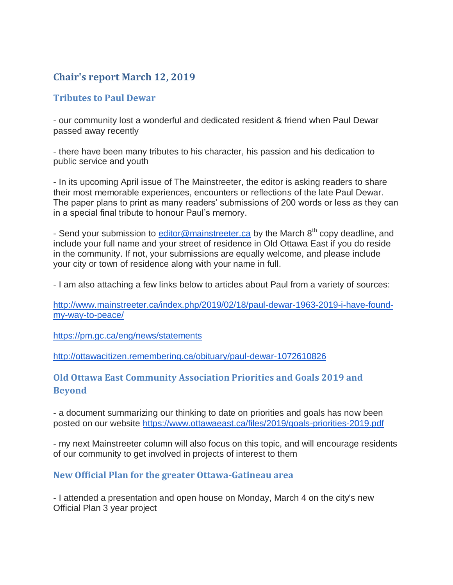# **Chair's report March 12, 2019**

### **Tributes to Paul Dewar**

- our community lost a wonderful and dedicated resident & friend when Paul Dewar passed away recently

- there have been many tributes to his character, his passion and his dedication to public service and youth

- In its upcoming April issue of The Mainstreeter, the editor is asking readers to share their most memorable experiences, encounters or reflections of the late Paul Dewar. The paper plans to print as many readers' submissions of 200 words or less as they can in a special final tribute to honour Paul's memory.

- Send your submission to [editor@mainstreeter.ca](mailto:editor@mainstreeter.ca) by the March 8<sup>th</sup> copy deadline, and include your full name and your street of residence in Old Ottawa East if you do reside in the community. If not, your submissions are equally welcome, and please include your city or town of residence along with your name in full.

- I am also attaching a few links below to articles about Paul from a variety of sources:

[http://www.mainstreeter.ca/index.php/2019/02/18/paul-dewar-1963-2019-i-have-found](http://www.mainstreeter.ca/index.php/2019/02/18/paul-dewar-1963-2019-i-have-found-my-way-to-peace/)[my-way-to-peace/](http://www.mainstreeter.ca/index.php/2019/02/18/paul-dewar-1963-2019-i-have-found-my-way-to-peace/)

<https://pm.gc.ca/eng/news/statements>

<http://ottawacitizen.remembering.ca/obituary/paul-dewar-1072610826>

# **Old Ottawa East Community Association Priorities and Goals 2019 and Beyond**

- a document summarizing our thinking to date on priorities and goals has now been posted on our website <https://www.ottawaeast.ca/files/2019/goals-priorities-2019.pdf>

- my next Mainstreeter column will also focus on this topic, and will encourage residents of our community to get involved in projects of interest to them

### **New Official Plan for the greater Ottawa-Gatineau area**

- I attended a presentation and open house on Monday, March 4 on the city's new Official Plan 3 year project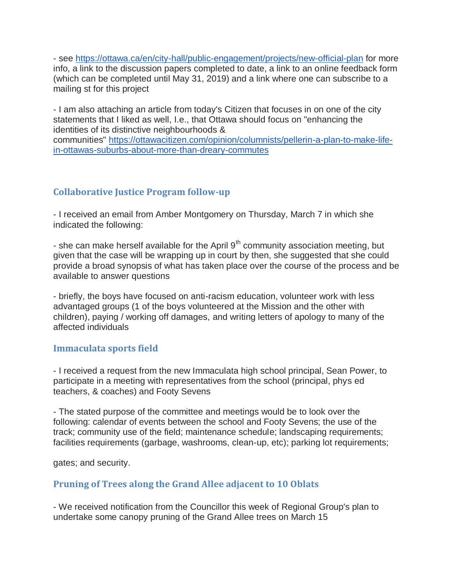- see <https://ottawa.ca/en/city-hall/public-engagement/projects/new-official-plan> for more info, a link to the discussion papers completed to date, a link to an online feedback form (which can be completed until May 31, 2019) and a link where one can subscribe to a mailing st for this project

- I am also attaching an article from today's Citizen that focuses in on one of the city statements that I liked as well, I.e., that Ottawa should focus on "enhancing the identities of its distinctive neighbourhoods &

communities" [https://ottawacitizen.com/opinion/columnists/pellerin-a-plan-to-make-life](https://ottawacitizen.com/opinion/columnists/pellerin-a-plan-to-make-life-in-ottawas-suburbs-about-more-than-dreary-commutes)[in-ottawas-suburbs-about-more-than-dreary-commutes](https://ottawacitizen.com/opinion/columnists/pellerin-a-plan-to-make-life-in-ottawas-suburbs-about-more-than-dreary-commutes)

# **Collaborative Justice Program follow-up**

- I received an email from Amber Montgomery on Thursday, March 7 in which she indicated the following:

- she can make herself available for the April  $9<sup>th</sup>$  community association meeting, but given that the case will be wrapping up in court by then, she suggested that she could provide a broad synopsis of what has taken place over the course of the process and be available to answer questions

- briefly, the boys have focused on anti-racism education, volunteer work with less advantaged groups (1 of the boys volunteered at the Mission and the other with children), paying / working off damages, and writing letters of apology to many of the affected individuals

### **Immaculata sports field**

- I received a request from the new Immaculata high school principal, Sean Power, to participate in a meeting with representatives from the school (principal, phys ed teachers, & coaches) and Footy Sevens

- The stated purpose of the committee and meetings would be to look over the following: calendar of events between the school and Footy Sevens; the use of the track; community use of the field; maintenance schedule; landscaping requirements; facilities requirements (garbage, washrooms, clean-up, etc); parking lot requirements;

gates; and security.

### **Pruning of Trees along the Grand Allee adjacent to 10 Oblats**

- We received notification from the Councillor this week of Regional Group's plan to undertake some canopy pruning of the Grand Allee trees on March 15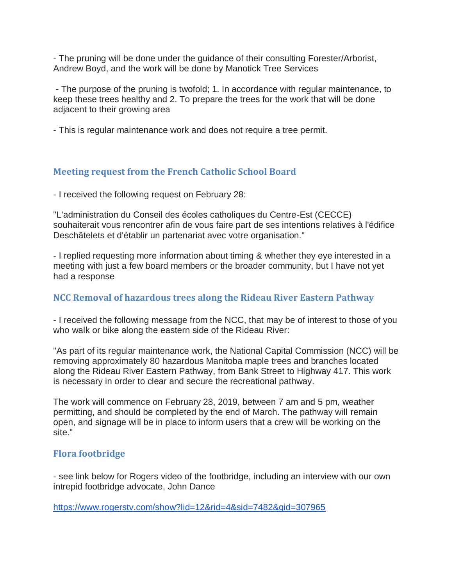- The pruning will be done under the guidance of their consulting Forester/Arborist, Andrew Boyd, and the work will be done by Manotick Tree Services

- The purpose of the pruning is twofold; 1. In accordance with regular maintenance, to keep these trees healthy and 2. To prepare the trees for the work that will be done adjacent to their growing area

- This is regular maintenance work and does not require a tree permit.

### **Meeting request from the French Catholic School Board**

- I received the following request on February 28:

"L'administration du Conseil des écoles catholiques du Centre-Est (CECCE) souhaiterait vous rencontrer afin de vous faire part de ses intentions relatives à l'édifice Deschâtelets et d'établir un partenariat avec votre organisation."

- I replied requesting more information about timing & whether they eye interested in a meeting with just a few board members or the broader community, but I have not yet had a response

## **NCC Removal of hazardous trees along the Rideau River Eastern Pathway**

- I received the following message from the NCC, that may be of interest to those of you who walk or bike along the eastern side of the Rideau River:

"As part of its regular maintenance work, the National Capital Commission (NCC) will be removing approximately 80 hazardous Manitoba maple trees and branches located along the Rideau River Eastern Pathway, from Bank Street to Highway 417. This work is necessary in order to clear and secure the recreational pathway.

The work will commence on February 28, 2019, between 7 am and 5 pm, weather permitting, and should be completed by the end of March. The pathway will remain open, and signage will be in place to inform users that a crew will be working on the site."

### **Flora footbridge**

- see link below for Rogers video of the footbridge, including an interview with our own intrepid footbridge advocate, John Dance

<https://www.rogerstv.com/show?lid=12&rid=4&sid=7482&gid=307965>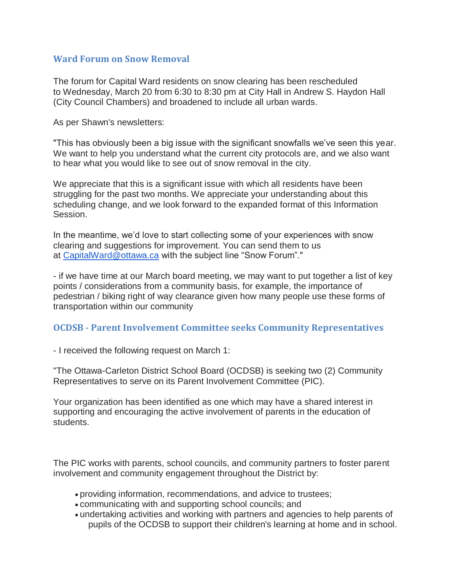#### **Ward Forum on Snow Removal**

The forum for Capital Ward residents on snow clearing has been rescheduled to Wednesday, March 20 from 6:30 to 8:30 pm at City Hall in Andrew S. Haydon Hall (City Council Chambers) and broadened to include all urban wards.

As per Shawn's newsletters:

"This has obviously been a big issue with the significant snowfalls we've seen this year. We want to help you understand what the current city protocols are, and we also want to hear what you would like to see out of snow removal in the city.

We appreciate that this is a significant issue with which all residents have been struggling for the past two months. We appreciate your understanding about this scheduling change, and we look forward to the expanded format of this Information Session.

In the meantime, we'd love to start collecting some of your experiences with snow clearing and suggestions for improvement. You can send them to us at [CapitalWard@ottawa.ca](mailto:CapitalWard@ottawa.ca) with the subject line "Snow Forum"."

- if we have time at our March board meeting, we may want to put together a list of key points / considerations from a community basis, for example, the importance of pedestrian / biking right of way clearance given how many people use these forms of transportation within our community

#### **OCDSB - Parent Involvement Committee seeks Community Representatives**

- I received the following request on March 1:

"The Ottawa-Carleton District School Board (OCDSB) is seeking two (2) Community Representatives to serve on its Parent Involvement Committee (PIC).

Your organization has been identified as one which may have a shared interest in supporting and encouraging the active involvement of parents in the education of students.

The PIC works with parents, school councils, and community partners to foster parent involvement and community engagement throughout the District by:

- providing information, recommendations, and advice to trustees;
- communicating with and supporting school councils; and
- undertaking activities and working with partners and agencies to help parents of pupils of the OCDSB to support their children's learning at home and in school.